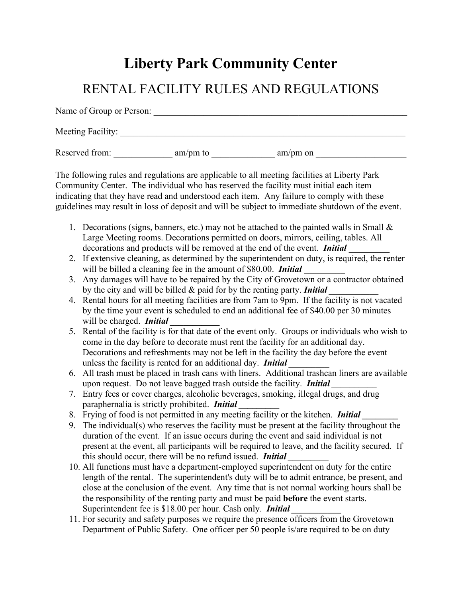## **Liberty Park Community Center**

## RENTAL FACILITY RULES AND REGULATIONS

Name of Group or Person: Meeting Facility: Reserved from:  $am/pm$  to  $am/pm$  am/pm on

The following rules and regulations are applicable to all meeting facilities at Liberty Park Community Center. The individual who has reserved the facility must initial each item indicating that they have read and understood each item. Any failure to comply with these guidelines may result in loss of deposit and will be subject to immediate shutdown of the event.

- 1. Decorations (signs, banners, etc.) may not be attached to the painted walls in Small  $\&$ Large Meeting rooms. Decorations permitted on doors, mirrors, ceiling, tables. All decorations and products will be removed at the end of the event. *Initial* \_\_\_\_\_\_\_\_\_
- 2. If extensive cleaning, as determined by the superintendent on duty, is required, the renter will be billed a cleaning fee in the amount of \$80.00. *Initial*
- 3. Any damages will have to be repaired by the City of Grovetown or a contractor obtained by the city and will be billed & paid for by the renting party. *Initial*
- 4. Rental hours for all meeting facilities are from 7am to 9pm. If the facility is not vacated by the time your event is scheduled to end an additional fee of \$40.00 per 30 minutes will be charged. **Initial**
- 5. Rental of the facility is for that date of the event only. Groups or individuals who wish to come in the day before to decorate must rent the facility for an additional day. Decorations and refreshments may not be left in the facility the day before the event unless the facility is rented for an additional day. *Initial*
- 6. All trash must be placed in trash cans with liners. Additional trashcan liners are available upon request. Do not leave bagged trash outside the facility. *Initial \_\_\_\_\_\_\_\_\_\_*
- 7. Entry fees or cover charges, alcoholic beverages, smoking, illegal drugs, and drug paraphernalia is strictly prohibited. *Initial \_\_\_\_\_\_\_\_\_*
- 8. Frying of food is not permitted in any meeting facility or the kitchen. *Initial*
- 9. The individual(s) who reserves the facility must be present at the facility throughout the duration of the event. If an issue occurs during the event and said individual is not present at the event, all participants will be required to leave, and the facility secured. If this should occur, there will be no refund issued. *Initial*
- 10. All functions must have a department-employed superintendent on duty for the entire length of the rental. The superintendent's duty will be to admit entrance, be present, and close at the conclusion of the event. Any time that is not normal working hours shall be the responsibility of the renting party and must be paid **before** the event starts. Superintendent fee is \$18.00 per hour. Cash only. *Initial*
- 11. For security and safety purposes we require the presence officers from the Grovetown Department of Public Safety. One officer per 50 people is/are required to be on duty